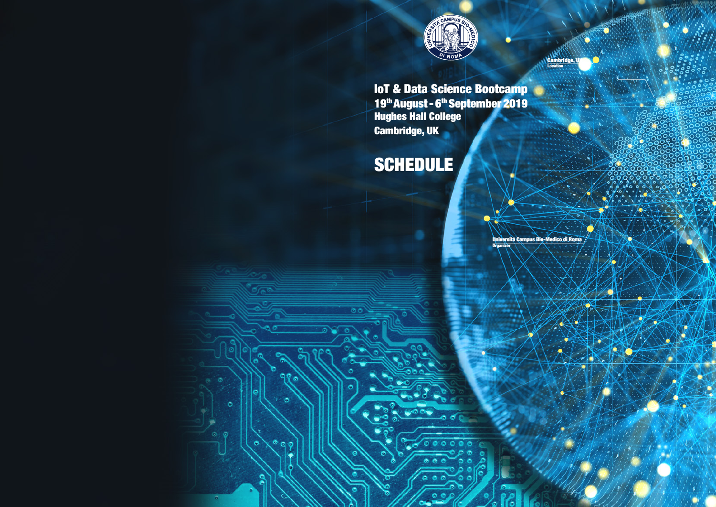

## IoT & Data Science Bootcamp 19th August - 6th September 2019 Hughes Hall College Cambridge, UK

o

 $\Omega$  $\bullet$ 

Call 1

ô

## SCHEDULE

**Organizer**